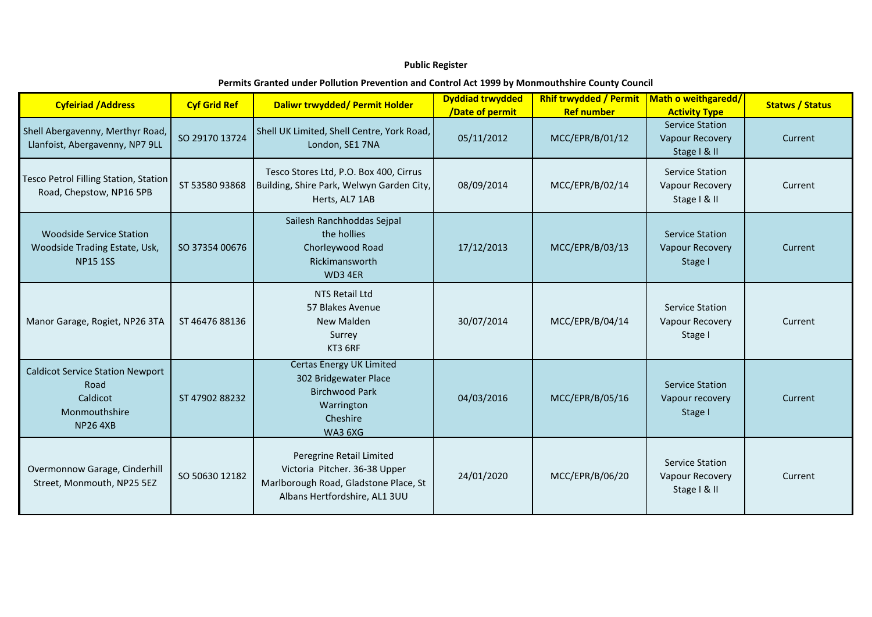## **Public Register**

## **Permits Granted under Pollution Prevention and Control Act 1999 by Monmouthshire County Council**

| <b>Cyfeiriad / Address</b>                                                                     | <b>Cyf Grid Ref</b> | Daliwr trwydded/ Permit Holder                                                                                                      | <b>Dyddiad trwydded</b><br>/Date of permit | <b>Rhif trwydded / Permit</b><br><b>Ref number</b> | Math o weithgaredd/<br><b>Activity Type</b>                      | <b>Statws / Status</b> |
|------------------------------------------------------------------------------------------------|---------------------|-------------------------------------------------------------------------------------------------------------------------------------|--------------------------------------------|----------------------------------------------------|------------------------------------------------------------------|------------------------|
| Shell Abergavenny, Merthyr Road,<br>Llanfoist, Abergavenny, NP7 9LL                            | SO 29170 13724      | Shell UK Limited, Shell Centre, York Road,<br>London, SE1 7NA                                                                       | 05/11/2012                                 | MCC/EPR/B/01/12                                    | <b>Service Station</b><br><b>Vapour Recovery</b><br>Stage   & II | Current                |
| Tesco Petrol Filling Station, Station<br>Road, Chepstow, NP16 5PB                              | ST 53580 93868      | Tesco Stores Ltd, P.O. Box 400, Cirrus<br>Building, Shire Park, Welwyn Garden City,<br>Herts, AL7 1AB                               | 08/09/2014                                 | MCC/EPR/B/02/14                                    | <b>Service Station</b><br>Vapour Recovery<br>Stage   & II        | Current                |
| <b>Woodside Service Station</b><br>Woodside Trading Estate, Usk,<br><b>NP15 1SS</b>            | SO 37354 00676      | Sailesh Ranchhoddas Sejpal<br>the hollies<br>Chorleywood Road<br>Rickimansworth<br>WD3 4ER                                          | 17/12/2013                                 | MCC/EPR/B/03/13                                    | <b>Service Station</b><br><b>Vapour Recovery</b><br>Stage I      | Current                |
| Manor Garage, Rogiet, NP26 3TA                                                                 | ST 46476 88136      | <b>NTS Retail Ltd</b><br>57 Blakes Avenue<br><b>New Malden</b><br>Surrey<br>KT3 6RF                                                 | 30/07/2014                                 | MCC/EPR/B/04/14                                    | Service Station<br>Vapour Recovery<br>Stage I                    | Current                |
| <b>Caldicot Service Station Newport</b><br>Road<br>Caldicot<br>Monmouthshire<br><b>NP264XB</b> | ST 47902 88232      | <b>Certas Energy UK Limited</b><br>302 Bridgewater Place<br><b>Birchwood Park</b><br>Warrington<br>Cheshire<br>WA3 6XG              | 04/03/2016                                 | MCC/EPR/B/05/16                                    | <b>Service Station</b><br>Vapour recovery<br>Stage I             | Current                |
| Overmonnow Garage, Cinderhill<br>Street, Monmouth, NP25 5EZ                                    | SO 50630 12182      | Peregrine Retail Limited<br>Victoria Pitcher. 36-38 Upper<br>Marlborough Road, Gladstone Place, St<br>Albans Hertfordshire, AL1 3UU | 24/01/2020                                 | MCC/EPR/B/06/20                                    | Service Station<br>Vapour Recovery<br>Stage   & II               | Current                |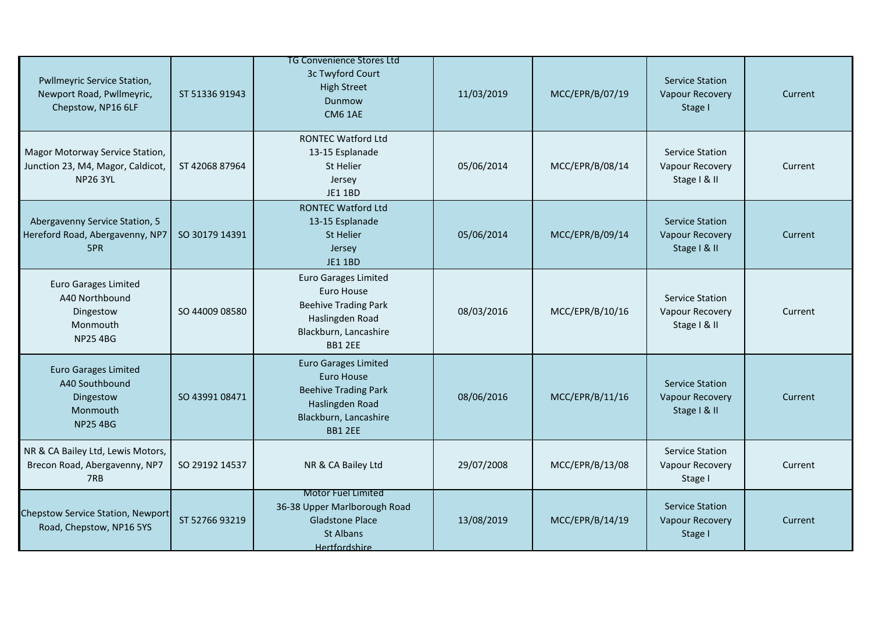| Pwllmeyric Service Station,<br>Newport Road, Pwllmeyric,<br>Chepstow, NP16 6LF            | ST 51336 91943 | TG Convenience Stores Ltd<br>3c Twyford Court<br><b>High Street</b><br>Dunmow<br><b>CM6 1AE</b>                                        | 11/03/2019 | MCC/EPR/B/07/19 | <b>Service Station</b><br><b>Vapour Recovery</b><br>Stage I      | Current |
|-------------------------------------------------------------------------------------------|----------------|----------------------------------------------------------------------------------------------------------------------------------------|------------|-----------------|------------------------------------------------------------------|---------|
| Magor Motorway Service Station,<br>Junction 23, M4, Magor, Caldicot,<br><b>NP26 3YL</b>   | ST 42068 87964 | <b>RONTEC Watford Ltd</b><br>13-15 Esplanade<br><b>St Helier</b><br>Jersey<br><b>JE1 1BD</b>                                           | 05/06/2014 | MCC/EPR/B/08/14 | <b>Service Station</b><br>Vapour Recovery<br>Stage   & II        | Current |
| Abergavenny Service Station, 5<br>Hereford Road, Abergavenny, NP7<br>5PR                  | SO 30179 14391 | <b>RONTEC Watford Ltd</b><br>13-15 Esplanade<br>St Helier<br>Jersey<br><b>JE1 1BD</b>                                                  | 05/06/2014 | MCC/EPR/B/09/14 | <b>Service Station</b><br><b>Vapour Recovery</b><br>Stage   & II | Current |
| <b>Euro Garages Limited</b><br>A40 Northbound<br>Dingestow<br>Monmouth<br><b>NP25 4BG</b> | SO 44009 08580 | <b>Euro Garages Limited</b><br>Euro House<br><b>Beehive Trading Park</b><br>Haslingden Road<br>Blackburn, Lancashire<br><b>BB1 2EE</b> | 08/03/2016 | MCC/EPR/B/10/16 | <b>Service Station</b><br>Vapour Recovery<br>Stage   & II        | Current |
| <b>Euro Garages Limited</b><br>A40 Southbound<br>Dingestow<br>Monmouth<br><b>NP25 4BG</b> | SO 43991 08471 | <b>Euro Garages Limited</b><br>Euro House<br><b>Beehive Trading Park</b><br>Haslingden Road<br>Blackburn, Lancashire<br><b>BB1 2EE</b> | 08/06/2016 | MCC/EPR/B/11/16 | <b>Service Station</b><br><b>Vapour Recovery</b><br>Stage   & II | Current |
| NR & CA Bailey Ltd, Lewis Motors,<br>Brecon Road, Abergavenny, NP7<br>7RB                 | SO 29192 14537 | NR & CA Bailey Ltd                                                                                                                     | 29/07/2008 | MCC/EPR/B/13/08 | Service Station<br>Vapour Recovery<br>Stage I                    | Current |
| <b>Chepstow Service Station, Newport</b><br>Road, Chepstow, NP16 5YS                      | ST 52766 93219 | <b>Motor Fuel Limited</b><br>36-38 Upper Marlborough Road<br><b>Gladstone Place</b><br>St Albans<br>Hertfordshire                      | 13/08/2019 | MCC/EPR/B/14/19 | <b>Service Station</b><br><b>Vapour Recovery</b><br>Stage I      | Current |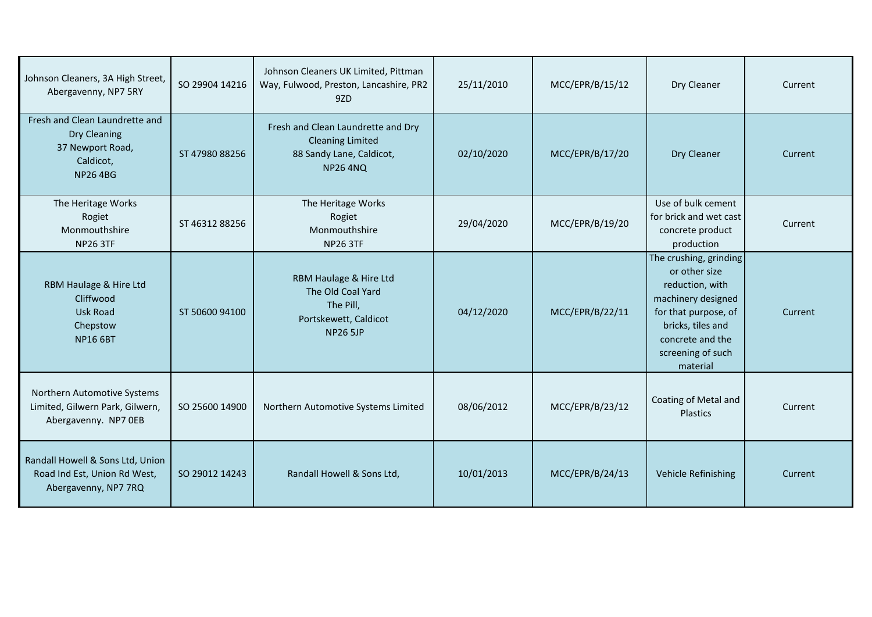| Johnson Cleaners, 3A High Street,<br>Abergavenny, NP7 5RY                                         | SO 29904 14216 | Johnson Cleaners UK Limited, Pittman<br>Way, Fulwood, Preston, Lancashire, PR2<br>9ZD                       | 25/11/2010 | MCC/EPR/B/15/12 | Dry Cleaner                                                                                                                                                                        | Current |
|---------------------------------------------------------------------------------------------------|----------------|-------------------------------------------------------------------------------------------------------------|------------|-----------------|------------------------------------------------------------------------------------------------------------------------------------------------------------------------------------|---------|
| Fresh and Clean Laundrette and<br>Dry Cleaning<br>37 Newport Road,<br>Caldicot,<br><b>NP264BG</b> | ST 47980 88256 | Fresh and Clean Laundrette and Dry<br><b>Cleaning Limited</b><br>88 Sandy Lane, Caldicot,<br><b>NP264NQ</b> | 02/10/2020 | MCC/EPR/B/17/20 | Dry Cleaner                                                                                                                                                                        | Current |
| The Heritage Works<br>Rogiet<br>Monmouthshire<br><b>NP26 3TF</b>                                  | ST 46312 88256 | The Heritage Works<br>Rogiet<br>Monmouthshire<br><b>NP26 3TF</b>                                            | 29/04/2020 | MCC/EPR/B/19/20 | Use of bulk cement<br>for brick and wet cast<br>concrete product<br>production                                                                                                     | Current |
| RBM Haulage & Hire Ltd<br>Cliffwood<br><b>Usk Road</b><br>Chepstow<br><b>NP16 6BT</b>             | ST 50600 94100 | RBM Haulage & Hire Ltd<br>The Old Coal Yard<br>The Pill,<br>Portskewett, Caldicot<br><b>NP26 5JP</b>        | 04/12/2020 | MCC/EPR/B/22/11 | The crushing, grinding<br>or other size<br>reduction, with<br>machinery designed<br>for that purpose, of<br>bricks, tiles and<br>concrete and the<br>screening of such<br>material | Current |
| Northern Automotive Systems<br>Limited, Gilwern Park, Gilwern,<br>Abergavenny. NP7 OEB            | SO 25600 14900 | Northern Automotive Systems Limited                                                                         | 08/06/2012 | MCC/EPR/B/23/12 | Coating of Metal and<br>Plastics                                                                                                                                                   | Current |
| Randall Howell & Sons Ltd, Union<br>Road Ind Est, Union Rd West,<br>Abergavenny, NP7 7RQ          | SO 29012 14243 | Randall Howell & Sons Ltd,                                                                                  | 10/01/2013 | MCC/EPR/B/24/13 | Vehicle Refinishing                                                                                                                                                                | Current |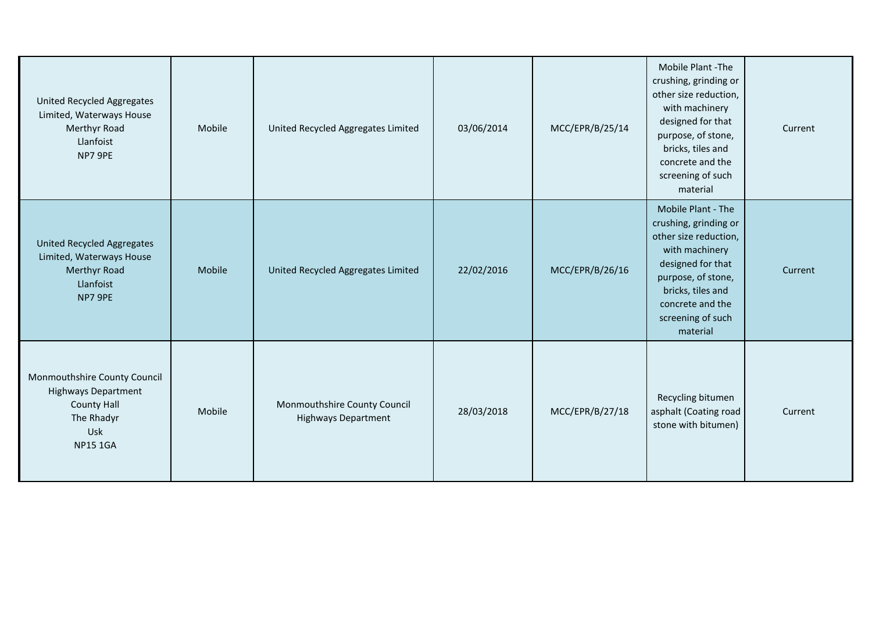| United Recycled Aggregates<br>Limited, Waterways House<br>Merthyr Road<br>Llanfoist<br>NP7 9PE                           | Mobile | United Recycled Aggregates Limited                         | 03/06/2014 | MCC/EPR/B/25/14 | Mobile Plant -The<br>crushing, grinding or<br>other size reduction,<br>with machinery<br>designed for that<br>purpose, of stone,<br>bricks, tiles and<br>concrete and the<br>screening of such<br>material  | Current |
|--------------------------------------------------------------------------------------------------------------------------|--------|------------------------------------------------------------|------------|-----------------|-------------------------------------------------------------------------------------------------------------------------------------------------------------------------------------------------------------|---------|
| United Recycled Aggregates<br>Limited, Waterways House<br>Merthyr Road<br>Llanfoist<br>NP7 9PE                           | Mobile | United Recycled Aggregates Limited                         | 22/02/2016 | MCC/EPR/B/26/16 | Mobile Plant - The<br>crushing, grinding or<br>other size reduction,<br>with machinery<br>designed for that<br>purpose, of stone,<br>bricks, tiles and<br>concrete and the<br>screening of such<br>material | Current |
| Monmouthshire County Council<br><b>Highways Department</b><br><b>County Hall</b><br>The Rhadyr<br>Usk<br><b>NP15 1GA</b> | Mobile | Monmouthshire County Council<br><b>Highways Department</b> | 28/03/2018 | MCC/EPR/B/27/18 | Recycling bitumen<br>asphalt (Coating road<br>stone with bitumen)                                                                                                                                           | Current |